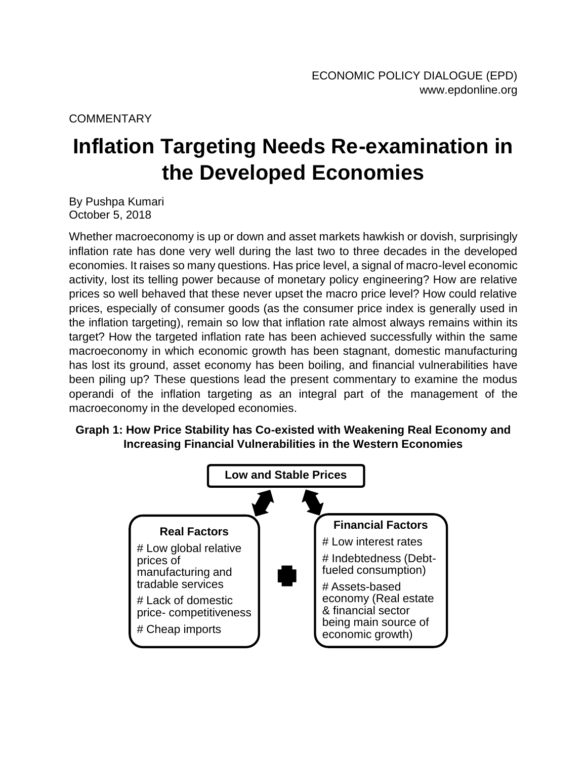## **COMMENTARY**

## **Inflation Targeting Needs Re-examination in the Developed Economies**

By Pushpa Kumari October 5, 2018

Whether macroeconomy is up or down and asset markets hawkish or dovish, surprisingly inflation rate has done very well during the last two to three decades in the developed economies. It raises so many questions. Has price level, a signal of macro-level economic activity, lost its telling power because of monetary policy engineering? How are relative prices so well behaved that these never upset the macro price level? How could relative prices, especially of consumer goods (as the consumer price index is generally used in the inflation targeting), remain so low that inflation rate almost always remains within its target? How the targeted inflation rate has been achieved successfully within the same macroeconomy in which economic growth has been stagnant, domestic manufacturing has lost its ground, asset economy has been boiling, and financial vulnerabilities have been piling up? These questions lead the present commentary to examine the modus operandi of the inflation targeting as an integral part of the management of the macroeconomy in the developed economies.

## **Graph 1: How Price Stability has Co-existed with Weakening Real Economy and Increasing Financial Vulnerabilities in the Western Economies**

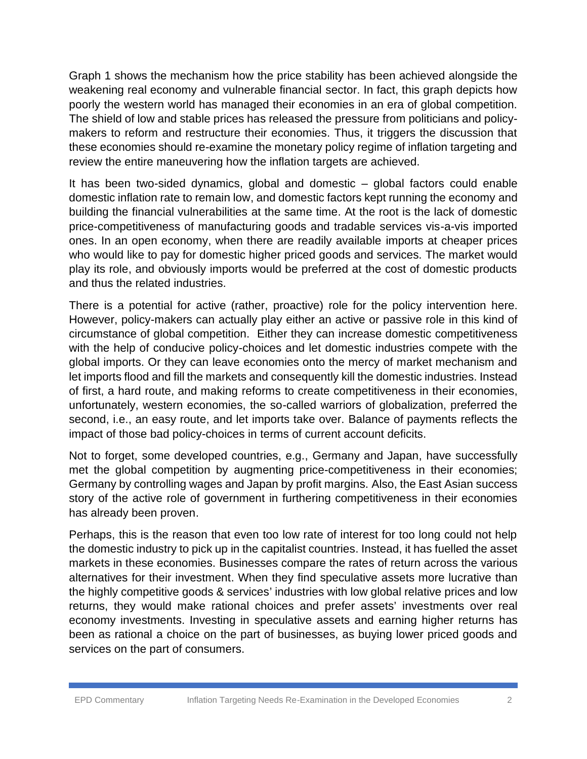Graph 1 shows the mechanism how the price stability has been achieved alongside the weakening real economy and vulnerable financial sector. In fact, this graph depicts how poorly the western world has managed their economies in an era of global competition. The shield of low and stable prices has released the pressure from politicians and policy makers to reform and restructure their economies. Thus, it triggers the discussion that these economies should re-examine the monetary policy regime of inflation targeting and review the entire maneuvering how the inflation targets are achieved.

It has been two-sided dynamics, global and domestic – global factors could enable domestic inflation rate to remain low, and domestic factors kept running the economy and building the financial vulnerabilities at the same time. At the root is the lack of domestic price-competitiveness of manufacturing goods and tradable services vis-a-vis imported ones. In an open economy, when there are readily available imports at cheaper prices who would like to pay for domestic higher priced goods and services. The market would play its role, and obviously imports would be preferred at the cost of domestic products and thus the related industries.

There is a potential for active (rather, proactive) role for the policy intervention here. However, policy-makers can actually play either an active or passive role in this kind of circumstance of global competition. Either they can increase domestic competitiveness with the help of conducive policy-choices and let domestic industries compete with the global imports. Or they can leave economies onto the mercy of market mechanism and let imports flood and fill the markets and consequently kill the domestic industries. Instead of first, a hard route, and making reforms to create competitiveness in their economies, unfortunately, western economies, the so-called warriors of globalization, preferred the second, i.e., an easy route, and let imports take over. Balance of payments reflects the impact of those bad policy-choices in terms of current account deficits.

Not to forget, some developed countries, e.g., Germany and Japan, have successfully met the global competition by augmenting price-competitiveness in their economies; Germany by controlling wages and Japan by profit margins. Also, the East Asian success story of the active role of government in furthering competitiveness in their economies has already been proven.

Perhaps, this is the reason that even too low rate of interest for too long could not help the domestic industry to pick up in the capitalist countries. Instead, it has fuelled the asset markets in these economies. Businesses compare the rates of return across the various alternatives for their investment. When they find speculative assets more lucrative than the highly competitive goods & services' industries with low global relative prices and low returns, they would make rational choices and prefer assets' investments over real economy investments. Investing in speculative assets and earning higher returns has been as rational a choice on the part of businesses, as buying lower priced goods and services on the part of consumers.